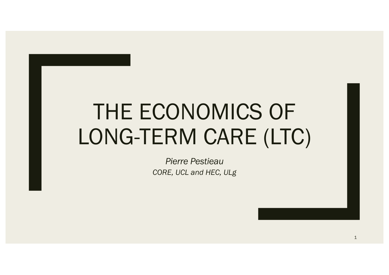# THE ECONOMICS OF LONG-TERM CARE (LTC)

*Pierre Pestieau CORE, UCL and HEC, ULg*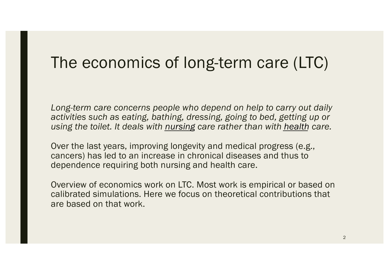### The economics of long-term care (LTC)

*Long-term care concerns people who depend on help to carry out daily activities such as eating, bathing, dressing, going to bed, getting up or using the toilet. It deals with nursing care rather than with health care.*

Over the last years, improving longevity and medical progress (e.g., cancers) has led to an increase in chronical diseases and thus to dependence requiring both nursing and health care.

Overview of economics work on LTC. Most work is empirical or based on calibrated simulations. Here we focus on theoretical contributions that are based on that work.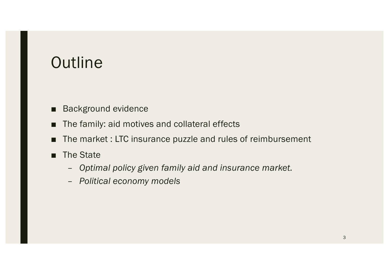### **Outline**

- Background evidence
- The family: aid motives and collateral effects
- The market : LTC insurance puzzle and rules of reimbursement
- The State
	- *Optimal policy given family aid and insurance market.*
	- *Political economy models*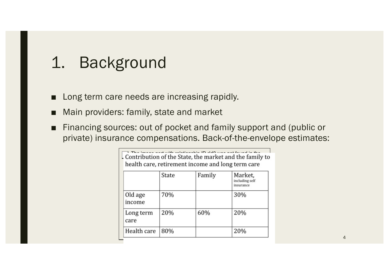### 1. Background

- Long term care needs are increasing rapidly.
- Main providers: family, state and market
- Financing sources: out of pocket and family support and (public or private) insurance compensations. Back-of-the-envelope estimates:

| Contribution of the State, the market and the family to<br>health care, retirement income and long term care |       |        |                                        |  |  |  |  |  |
|--------------------------------------------------------------------------------------------------------------|-------|--------|----------------------------------------|--|--|--|--|--|
|                                                                                                              | State | Family | Market,<br>including self<br>insurance |  |  |  |  |  |
| Old age<br>income                                                                                            | 70%   |        | 30%                                    |  |  |  |  |  |
| Long term<br>care                                                                                            | 20%   | 60%    | 20%                                    |  |  |  |  |  |
| Health care                                                                                                  | 80%   |        | 20%                                    |  |  |  |  |  |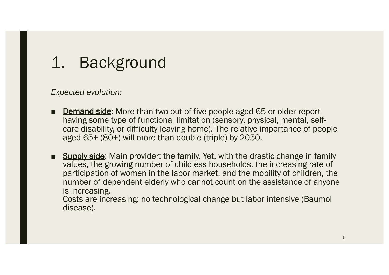# 1. Background

*Expected evolution:*

- Demand side: More than two out of five people aged 65 or older report having some type of functional limitation (sensory, physical, mental, self-<br>care disability, or difficulty leaving home). The relative importance of people aged 65+ (80+) will more than double (triple) by 2050.
- Supply side: Main provider: the family. Yet, with the drastic change in family values, the growing number of childless households, the increasing rate of participation of women in the labor market, and the mobility of children, the number of dependent elderly who cannot count on the assistance of anyone is increasing.

Costs are increasing: no technological change but labor intensive (Baumol disease).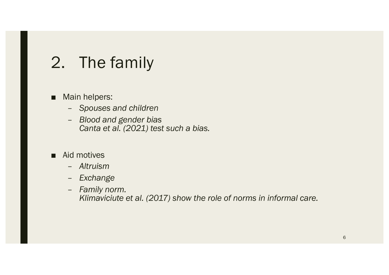# 2. The family

- Main helpers:
	- *Spouses and children*
	- *Blood and gender bias Canta et al. (2021) test such a bias.*
- Aid motives
	- *Altruism*
	- *Exchange*
	- *Family norm. Klimaviciute et al. (2017) show the role of norms in informal care.*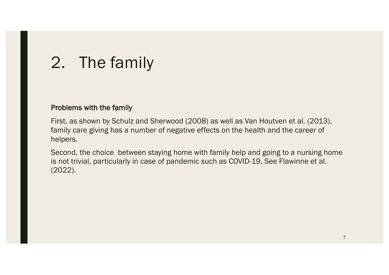# 2. The family

#### Problems with the family

First, as shown by Schulz and Sherwood (2008) as well as Van Houtven et al. (2013), family care giving has a number of negative effects on the health and the career of helpers.

Second, the choice between staying home with family help and going to a nursing home is not trivial, particularly in case of pandemic such as COVID-19. See Flawinne et al. (2022).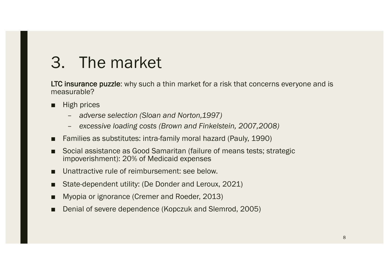### 3. The market

LTC insurance puzzle: why such a thin market for a risk that concerns everyone and is measurable?

- High prices
	- *adverse selection (Sloan and Norton,1997)*
	- *excessive loading costs (Brown and Finkelstein, 2007,2008)*
- Families as substitutes: intra-family moral hazard (Pauly, 1990)
- Social assistance as Good Samaritan (failure of means tests; strategic impoverishment): 20% of Medicaid expenses
- Unattractive rule of reimbursement: see below.
- State-dependent utility: (De Donder and Leroux, 2021)
- Myopia or ignorance (Cremer and Roeder, 2013)
- Denial of severe dependence (Kopczuk and Slemrod, 2005)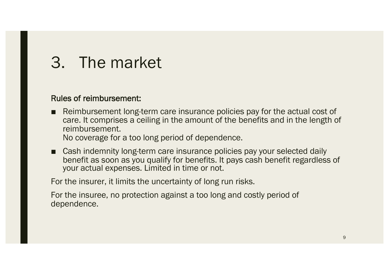### 3. The market

#### Rules of reimbursement:

■ Reimbursement long-term care insurance policies pay for the actual cost of care. It comprises a ceiling in the amount of the benefits and in the length of reimbursement.

No coverage for a too long period of dependence.

■ Cash indemnity long-term care insurance policies pay your selected daily benefit as soon as you qualify for benefits. It pays cash benefit regardless of your actual expenses. Limited in time or not.

For the insurer, it limits the uncertainty of long run risks.

For the insuree, no protection against a too long and costly period of dependence.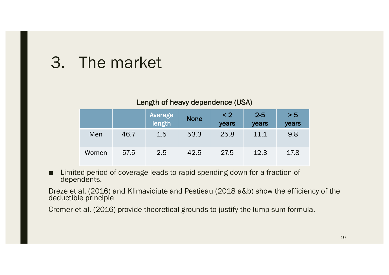### 3. The market

#### Length of heavy dependence (USA)

|       |      | Average<br>length | <b>None</b> | $\leq$ 2<br>years | $2 - 5$<br>years | > 5<br>years |
|-------|------|-------------------|-------------|-------------------|------------------|--------------|
| Men   | 46.7 | 1.5               | 53.3        | 25.8              | 11.1             | 9.8          |
| Women | 57.5 | 2.5               | 42.5        | 27.5              | 12.3             | 17.8         |

■ Limited period of coverage leads to rapid spending down for a fraction of dependents.

Dreze et al. (2016) and Klimaviciute and Pestieau (2018 a&b) show the efficiency of the deductible principle

Cremer et al. (2016) provide theoretical grounds to justify the lump-sum formula.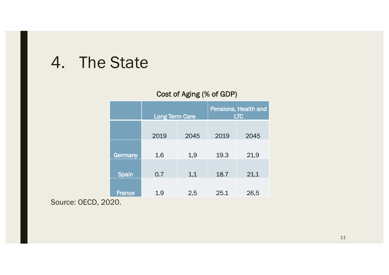#### 4. The State

#### Cost of Aging (% of GDP)

|               | <b>Long Term Care</b> |      | Pensions, Health and<br><b>LTC</b> |      |  |
|---------------|-----------------------|------|------------------------------------|------|--|
|               | 2019                  | 2045 | 2019                               | 2045 |  |
| Germany       | 1.6                   | 1,9  | 19.3                               | 21,9 |  |
| <b>Spain</b>  | 0.7                   | 1,1  | 18.7                               | 21,1 |  |
| <b>France</b> | 1.9                   | 2,5  | 25.1                               | 26,5 |  |

Source: OECD, 2020.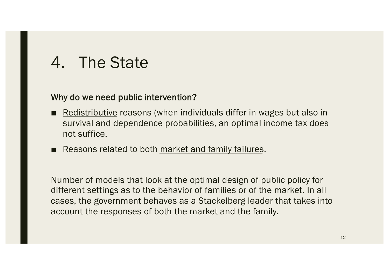### 4. The State

#### Why do we need public intervention?

- Redistributive reasons (when individuals differ in wages but also in survival and dependence probabilities, an optimal income tax does not suffice.
- Reasons related to both market and family failures.

Number of models that look at the optimal design of public policy for different settings as to the behavior of families or of the market. In all cases, the government behaves as a Stackelberg leader that takes into account the responses of both the market and the family.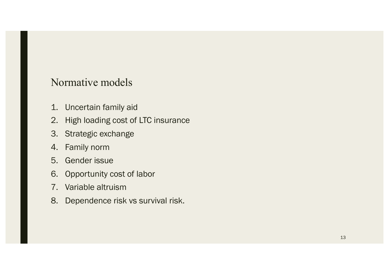#### Normative models

- 1. Uncertain family aid
- 2. High loading cost of LTC insurance
- 3. Strategic exchange
- 4. Family norm
- 5. Gender issue
- 6. Opportunity cost of labor
- 7. Variable altruism
- 8. Dependence risk vs survival risk.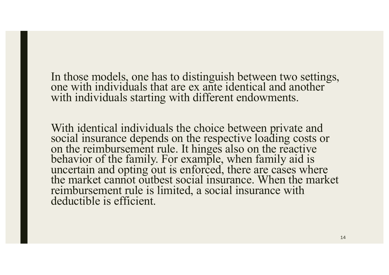In those models, one has to distinguish between two settings, one with individuals that are ex ante identical and another with individuals starting with different endowments.

With identical individuals the choice between private and social insurance depends on the respective loading costs or on the reimbursement rule. It hinges also on the reactive behavior of the family. For example, when family aid is uncertain and opting out is enforced, there are cases where the market cannot outbest social insurance. When the market reimbursement rule is limited, a social insurance with deductible is efficient.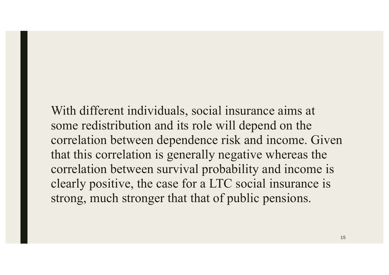With different individuals, social insurance aims at some redistribution and its role will depend on the correlation between dependence risk and income. Given that this correlation is generally negative whereas the correlation between survival probability and income is clearly positive, the case for a LTC social insurance is strong, much stronger that that of public pensions.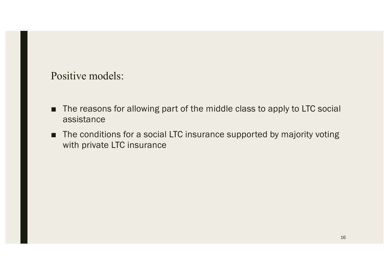#### Positive models:

- The reasons for allowing part of the middle class to apply to LTC social assistance
- The conditions for a social LTC insurance supported by majority voting with private LTC insurance